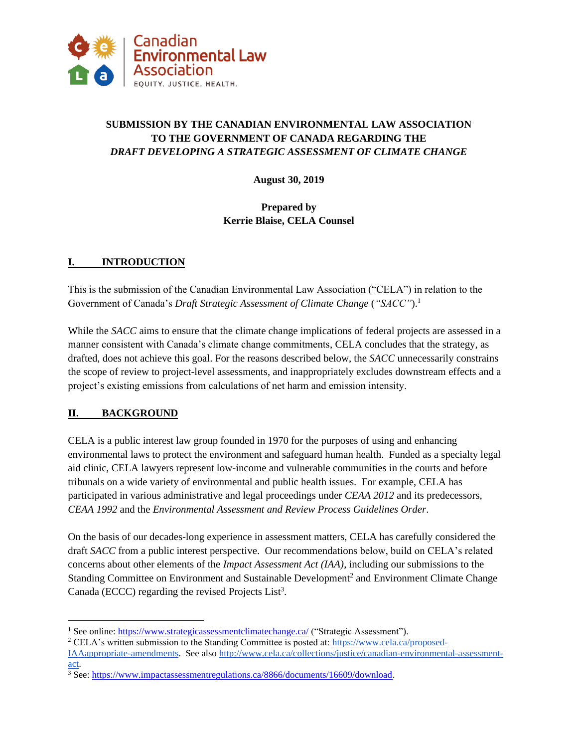

# **SUBMISSION BY THE CANADIAN ENVIRONMENTAL LAW ASSOCIATION TO THE GOVERNMENT OF CANADA REGARDING THE** *DRAFT DEVELOPING A STRATEGIC ASSESSMENT OF CLIMATE CHANGE*

**August 30, 2019**

# **Prepared by Kerrie Blaise, CELA Counsel**

# **I. INTRODUCTION**

This is the submission of the Canadian Environmental Law Association ("CELA") in relation to the Government of Canada's *Draft Strategic Assessment of Climate Change* (*"SACC"*).<sup>1</sup>

While the *SACC* aims to ensure that the climate change implications of federal projects are assessed in a manner consistent with Canada's climate change commitments, CELA concludes that the strategy, as drafted, does not achieve this goal. For the reasons described below, the *SACC* unnecessarily constrains the scope of review to project-level assessments, and inappropriately excludes downstream effects and a project's existing emissions from calculations of net harm and emission intensity.

### **II. BACKGROUND**

CELA is a public interest law group founded in 1970 for the purposes of using and enhancing environmental laws to protect the environment and safeguard human health. Funded as a specialty legal aid clinic, CELA lawyers represent low-income and vulnerable communities in the courts and before tribunals on a wide variety of environmental and public health issues. For example, CELA has participated in various administrative and legal proceedings under *CEAA 2012* and its predecessors, *CEAA 1992* and the *Environmental Assessment and Review Process Guidelines Order*.

On the basis of our decades-long experience in assessment matters, CELA has carefully considered the draft *SACC* from a public interest perspective. Our recommendations below, build on CELA's related concerns about other elements of the *Impact Assessment Act (IAA)*, including our submissions to the Standing Committee on Environment and Sustainable Development<sup>2</sup> and Environment Climate Change Canada (ECCC) regarding the revised Projects List<sup>3</sup>.

<sup>&</sup>lt;sup>1</sup> See online:<https://www.strategicassessmentclimatechange.ca/> ("Strategic Assessment").

<sup>&</sup>lt;sup>2</sup> CELA's written submission to the Standing Committee is posted at: [https://www.cela.ca/proposed-](https://www.cela.ca/proposed-IAAappropriate-amendments)

[IAAappropriate-amendments.](https://www.cela.ca/proposed-IAAappropriate-amendments) See also [http://www.cela.ca/collections/justice/canadian-environmental-assessment](http://www.cela.ca/collections/justice/canadian-environmental-assessment-act)[act.](http://www.cela.ca/collections/justice/canadian-environmental-assessment-act)

<sup>3</sup> See: [https://www.impactassessmentregulations.ca/8866/documents/16609/download.](https://www.impactassessmentregulations.ca/8866/documents/16609/download)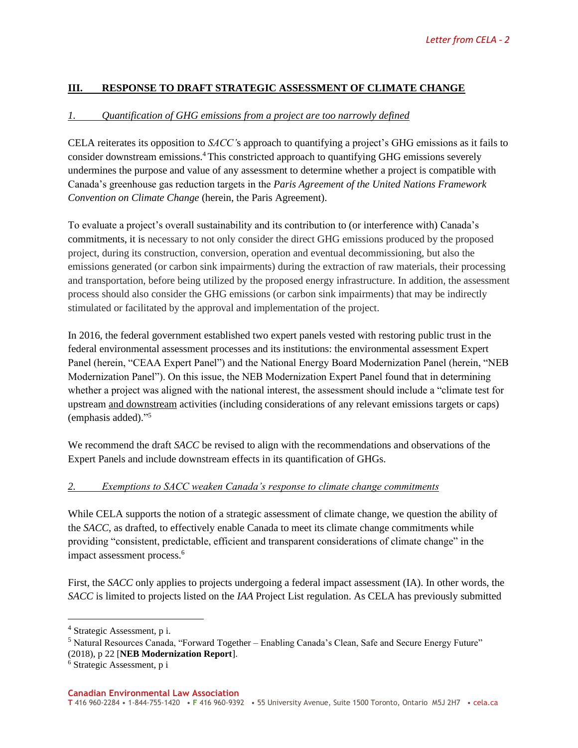### **III. RESPONSE TO DRAFT STRATEGIC ASSESSMENT OF CLIMATE CHANGE**

#### *1. Quantification of GHG emissions from a project are too narrowly defined*

CELA reiterates its opposition to *SACC'*s approach to quantifying a project's GHG emissions as it fails to consider downstream emissions.<sup>4</sup> This constricted approach to quantifying GHG emissions severely undermines the purpose and value of any assessment to determine whether a project is compatible with Canada's greenhouse gas reduction targets in the *Paris Agreement of the United Nations Framework Convention on Climate Change* (herein, the Paris Agreement).

To evaluate a project's overall sustainability and its contribution to (or interference with) Canada's commitments, it is necessary to not only consider the direct GHG emissions produced by the proposed project, during its construction, conversion, operation and eventual decommissioning, but also the emissions generated (or carbon sink impairments) during the extraction of raw materials, their processing and transportation, before being utilized by the proposed energy infrastructure. In addition, the assessment process should also consider the GHG emissions (or carbon sink impairments) that may be indirectly stimulated or facilitated by the approval and implementation of the project.

In 2016, the federal government established two expert panels vested with restoring public trust in the federal environmental assessment processes and its institutions: the environmental assessment Expert Panel (herein, "CEAA Expert Panel") and the National Energy Board Modernization Panel (herein, "NEB Modernization Panel"). On this issue, the NEB Modernization Expert Panel found that in determining whether a project was aligned with the national interest, the assessment should include a "climate test for upstream and downstream activities (including considerations of any relevant emissions targets or caps) (emphasis added)." 5

We recommend the draft *SACC* be revised to align with the recommendations and observations of the Expert Panels and include downstream effects in its quantification of GHGs.

#### *2. Exemptions to SACC weaken Canada's response to climate change commitments*

While CELA supports the notion of a strategic assessment of climate change, we question the ability of the *SACC*, as drafted, to effectively enable Canada to meet its climate change commitments while providing "consistent, predictable, efficient and transparent considerations of climate change" in the impact assessment process.<sup>6</sup>

First, the *SACC* only applies to projects undergoing a federal impact assessment (IA). In other words, the *SACC* is limited to projects listed on the *IAA* Project List regulation. As CELA has previously submitted

<sup>4</sup> Strategic Assessment, p i.

<sup>5</sup> Natural Resources Canada, "Forward Together – Enabling Canada's Clean, Safe and Secure Energy Future" (2018), p 22 [**NEB Modernization Report**].

<sup>6</sup> Strategic Assessment, p i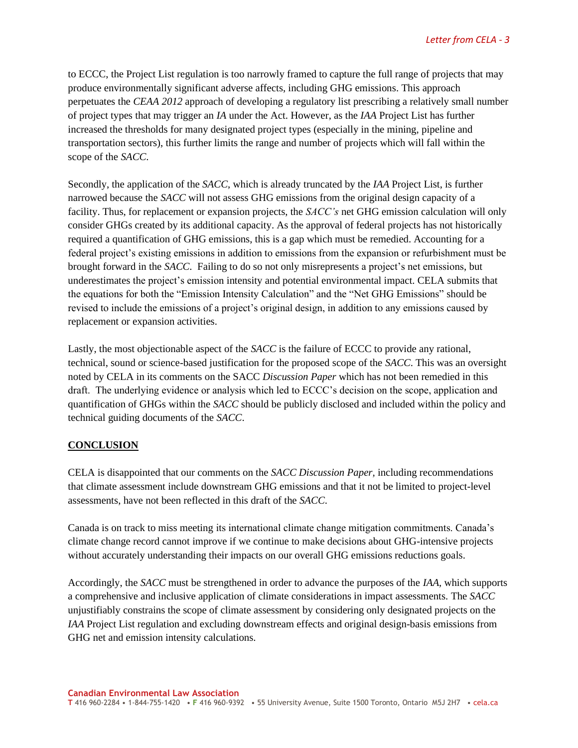to ECCC, the Project List regulation is too narrowly framed to capture the full range of projects that may produce environmentally significant adverse affects, including GHG emissions. This approach perpetuates the *CEAA 2012* approach of developing a regulatory list prescribing a relatively small number of project types that may trigger an *IA* under the Act. However, as the *IAA* Project List has further increased the thresholds for many designated project types (especially in the mining, pipeline and transportation sectors), this further limits the range and number of projects which will fall within the scope of the *SACC*.

Secondly, the application of the *SACC*, which is already truncated by the *IAA* Project List, is further narrowed because the *SACC* will not assess GHG emissions from the original design capacity of a facility. Thus, for replacement or expansion projects, the *SACC's* net GHG emission calculation will only consider GHGs created by its additional capacity. As the approval of federal projects has not historically required a quantification of GHG emissions, this is a gap which must be remedied. Accounting for a federal project's existing emissions in addition to emissions from the expansion or refurbishment must be brought forward in the *SACC*. Failing to do so not only misrepresents a project's net emissions, but underestimates the project's emission intensity and potential environmental impact. CELA submits that the equations for both the "Emission Intensity Calculation" and the "Net GHG Emissions" should be revised to include the emissions of a project's original design, in addition to any emissions caused by replacement or expansion activities.

Lastly, the most objectionable aspect of the *SACC* is the failure of ECCC to provide any rational, technical, sound or science-based justification for the proposed scope of the *SACC*. This was an oversight noted by CELA in its comments on the SACC *Discussion Paper* which has not been remedied in this draft. The underlying evidence or analysis which led to ECCC's decision on the scope, application and quantification of GHGs within the *SACC* should be publicly disclosed and included within the policy and technical guiding documents of the *SACC*.

### **CONCLUSION**

CELA is disappointed that our comments on the *SACC Discussion Paper,* including recommendations that climate assessment include downstream GHG emissions and that it not be limited to project-level assessments, have not been reflected in this draft of the *SACC*.

Canada is on track to miss meeting its international climate change mitigation commitments. Canada's climate change record cannot improve if we continue to make decisions about GHG-intensive projects without accurately understanding their impacts on our overall GHG emissions reductions goals.

Accordingly, the *SACC* must be strengthened in order to advance the purposes of the *IAA,* which supports a comprehensive and inclusive application of climate considerations in impact assessments. The *SACC* unjustifiably constrains the scope of climate assessment by considering only designated projects on the *IAA* Project List regulation and excluding downstream effects and original design-basis emissions from GHG net and emission intensity calculations.